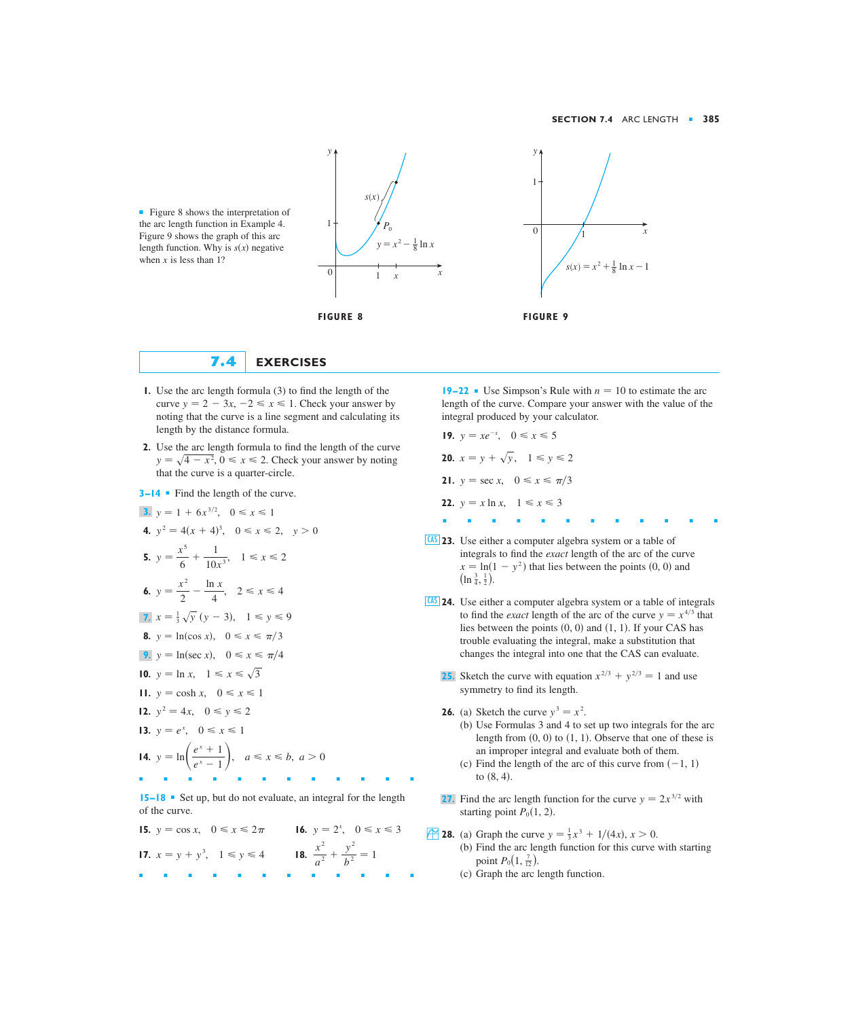

■ Figure 8 shows the interpretation of the arc length function in Example 4. Figure 9 shows the graph of this arc length function. Why is  $s(x)$  negative when  $x$  is less than 1?



- **1.** Use the arc length formula (3) to find the length of the curve  $y = 2 - 3x, -2 \le x \le 1$ . Check your answer by noting that the curve is a line segment and calculating its length by the distance formula.
- **2.** Use the arc length formula to find the length of the curve  $y = \sqrt{4 - x^2}$ ,  $0 \le x \le 2$ . Check your answer by noting that the curve is a quarter-circle.
- **3–14** Find the length of the curve.
- **3.**  $y = 1 + 6x^{3/2}, \quad 0 \le x \le 1$ **4.**  $y^2 = 4(x + 4)^3$ ,  $0 \le x \le 2$ ,  $y > 0$ **5.**  $y = \frac{x^5}{6} + \frac{1}{10x^3}$ ,  $1 \le x \le 2$ **6.**  $y = \frac{x^2}{2} - \frac{\ln x}{4}, \quad 2 \le x \le 4$ 7.  $x = \frac{1}{3}\sqrt{y} (y - 3), \quad 1 \le y \le 9$ **8.**  $y = \ln(\cos x), \quad 0 \le x \le \pi/3$ **9.**  $y = \ln(\sec x), \quad 0 \le x \le \pi/4$ **10.**  $y = \ln x, \quad 1 \leq x \leq \sqrt{3}$ **11.**  $y = \cosh x, \quad 0 \leq x \leq 1$ **12.**  $y^2 = 4x$ ,  $0 \le y \le 2$ **13.**  $y = e^x$ ,  $0 \le x \le 1$ **14.**  $y = \ln\left(\frac{e^x + 1}{e^x - 1}\right)$ ,  $a \le x \le b, a > 0$ ■■■■■■■■■■■■  $10x^3$

**15–18** ■ Set up, but do not evaluate, an integral for the length of the curve.

**15.**  $y = \cos x$ ,  $0 \le x \le 2\pi$  **16.**  $y = 2^x$ ,  $0 \le x \le 3$ **17.**  $x = y + y^3$ ,  $1 \le y \le 4$  **18.**  $\frac{x^2}{a^2} + \frac{y^2}{b^2} = 1$ ■■■■■■■■■■■■

**19–22** • Use Simpson's Rule with  $n = 10$  to estimate the arc length of the curve. Compare your answer with the value of the integral produced by your calculator.

- **19.**  $y = xe^{-x}$ ,  $0 \le x \le 5$ **20.**  $x = y + \sqrt{y}$ ,  $1 \le y \le 2$ **21.**  $y = \sec x, \quad 0 \le x \le \pi/3$ **22.**  $y = x \ln x, \quad 1 \leq x \leq 3$ ■■■■■■■■■■■■
- **23.** Use either a computer algebra system or a table of CAS integrals to find the *exact* length of the arc of the curve  $x = \ln(1 - y^2)$  that lies between the points (0, 0) and  $\left(\ln \frac{3}{4}, \frac{1}{2}\right)$ .  $(\ln \frac{3}{4}, \frac{1}{2}).$
- **24.** Use either a computer algebra system or a table of integrals CAS to find the *exact* length of the arc of the curve  $y = x^{4/3}$  that lies between the points  $(0, 0)$  and  $(1, 1)$ . If your CAS has trouble evaluating the integral, make a substitution that changes the integral into one that the CAS can evaluate.
	- **25.** Sketch the curve with equation  $x^{2/3} + y^{2/3} = 1$  and use symmetry to find its length.
	- **26.** (a) Sketch the curve  $y^3 = x^2$ .
		- (b) Use Formulas 3 and 4 to set up two integrals for the arc length from  $(0, 0)$  to  $(1, 1)$ . Observe that one of these is an improper integral and evaluate both of them.
		- (c) Find the length of the arc of this curve from  $(-1, 1)$ to  $(8, 4)$ .
	- **27.** Find the arc length function for the curve  $y = 2x^{3/2}$  with starting point  $P_0(1, 2)$ .
- **28.** (a) Graph the curve  $y = \frac{1}{3}x^3 + 1/(4x)$ ,  $x > 0$ .
	- (b) Find the arc length function for this curve with starting point  $P_0(1, \frac{7}{12})$ .
	- (c) Graph the arc length function.